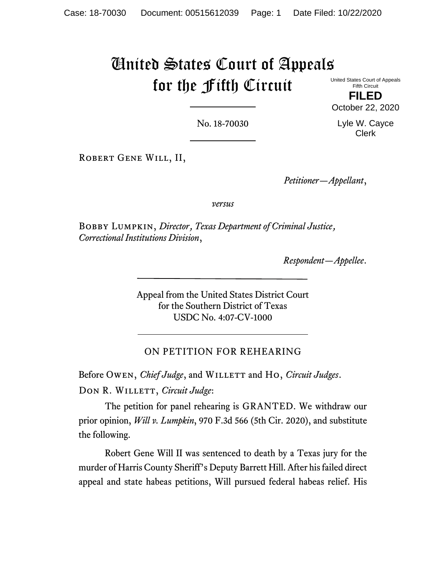# United States Court of Appeals for the Fifth Circuit

United States Court of Appeals Fifth Circuit

**FILED** October 22, 2020

No. 18-70030

Lyle W. Cayce Clerk

Robert Gene Will, II,

*Petitioner—Appellant*,

*versus*

Bobby Lumpkin, *Director*, *Texas Department of Criminal Justice*, *Correctional Institutions Division*,

*Respondent—Appellee*.

Appeal from the United States District Court for the Southern District of Texas USDC No. 4:07-CV-1000

# ON PETITION FOR REHEARING

Before Owen, *Chief Judge*, and WILLETT and Ho, *Circuit Judges*.

DON R. WILLETT, *Circuit Judge*:

The petition for panel rehearing is GRANTED. We withdraw our prior opinion, *Will v. Lumpkin*, 970 F.3d 566 (5th Cir. 2020), and substitute the following.

Robert Gene Will II was sentenced to death by a Texas jury for the murder of Harris County Sheriff's Deputy Barrett Hill. After his failed direct appeal and state habeas petitions, Will pursued federal habeas relief. His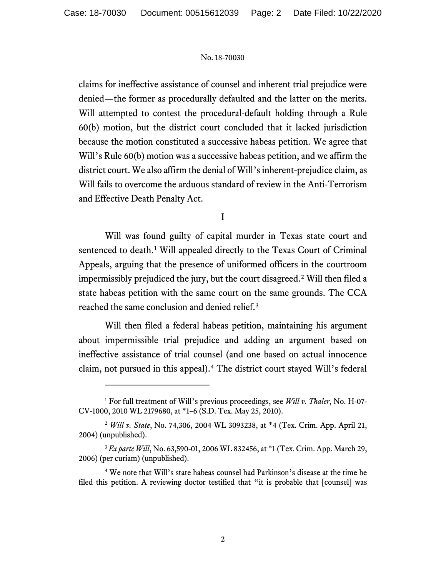claims for ineffective assistance of counsel and inherent trial prejudice were denied—the former as procedurally defaulted and the latter on the merits. Will attempted to contest the procedural-default holding through a Rule 60(b) motion, but the district court concluded that it lacked jurisdiction because the motion constituted a successive habeas petition. We agree that Will's Rule 60(b) motion was a successive habeas petition, and we affirm the district court. We also affirm the denial of Will's inherent-prejudice claim, as Will fails to overcome the arduous standard of review in the Anti-Terrorism and Effective Death Penalty Act.

I

Will was found guilty of capital murder in Texas state court and sentenced to death.<sup>[1](#page-1-0)</sup> Will appealed directly to the Texas Court of Criminal Appeals, arguing that the presence of uniformed officers in the courtroom impermissibly prejudiced the jury, but the court disagreed. [2](#page-1-1) Will then filed a state habeas petition with the same court on the same grounds. The CCA reached the same conclusion and denied relief. [3](#page-1-2)

Will then filed a federal habeas petition, maintaining his argument about impermissible trial prejudice and adding an argument based on ineffective assistance of trial counsel (and one based on actual innocence claim, not pursued in this appeal). [4](#page-1-3) The district court stayed Will's federal

<span id="page-1-0"></span><sup>1</sup> For full treatment of Will's previous proceedings, see *Will v. Thaler*, No. H-07- CV-1000, 2010 WL 2179680, at \*1–6 (S.D. Tex. May 25, 2010).

<span id="page-1-1"></span><sup>2</sup> *Will v. State*, No. 74,306, 2004 WL 3093238, at \*4 (Tex. Crim. App. April 21, 2004) (unpublished).

<span id="page-1-2"></span><sup>&</sup>lt;sup>3</sup> *Ex parte Will*, No. 63,590-01, 2006 WL 832456, at \*1 (Tex. Crim. App. March 29, 2006) (per curiam) (unpublished).

<span id="page-1-3"></span><sup>4</sup> We note that Will's state habeas counsel had Parkinson's disease at the time he filed this petition. A reviewing doctor testified that "it is probable that [counsel] was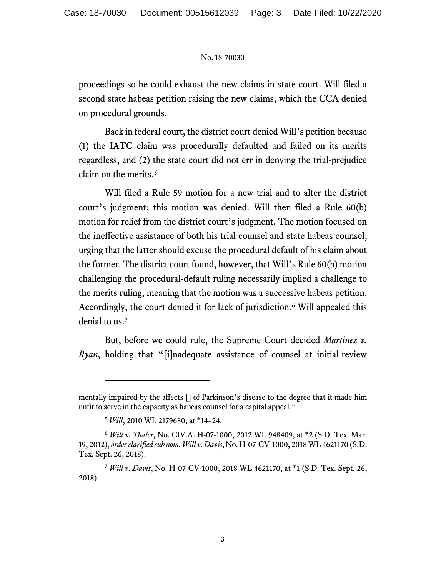proceedings so he could exhaust the new claims in state court. Will filed a second state habeas petition raising the new claims, which the CCA denied on procedural grounds.

Back in federal court, the district court denied Will's petition because (1) the IATC claim was procedurally defaulted and failed on its merits regardless, and (2) the state court did not err in denying the trial-prejudice claim on the merits.<sup>[5](#page-2-0)</sup>

Will filed a Rule 59 motion for a new trial and to alter the district court's judgment; this motion was denied. Will then filed a Rule 60(b) motion for relief from the district court's judgment. The motion focused on the ineffective assistance of both his trial counsel and state habeas counsel, urging that the latter should excuse the procedural default of his claim about the former. The district court found, however, that Will's Rule 60(b) motion challenging the procedural-default ruling necessarily implied a challenge to the merits ruling, meaning that the motion was a successive habeas petition. Accordingly, the court denied it for lack of jurisdiction.<sup>[6](#page-2-1)</sup> Will appealed this denial to us.<sup>[7](#page-2-2)</sup>

But, before we could rule, the Supreme Court decided *Martinez v. Ryan*, holding that "[i]nadequate assistance of counsel at initial-review

mentally impaired by the affects [] of Parkinson's disease to the degree that it made him unfit to serve in the capacity as habeas counsel for a capital appeal."

<sup>5</sup> *Will*, 2010 WL 2179680, at \*14–24.

<span id="page-2-1"></span><span id="page-2-0"></span><sup>6</sup> *Will v. Thaler*, No. CIV.A. H-07-1000, 2012 WL 948409, at \*2 (S.D. Tex. Mar. 19, 2012), *order clarified sub nom. Will v. Davis*, No. H-07-CV-1000, 2018 WL 4621170 (S.D. Tex. Sept. 26, 2018).

<span id="page-2-2"></span><sup>7</sup> *Will v. Davis*, No. H-07-CV-1000, 2018 WL 4621170, at \*1 (S.D. Tex. Sept. 26, 2018).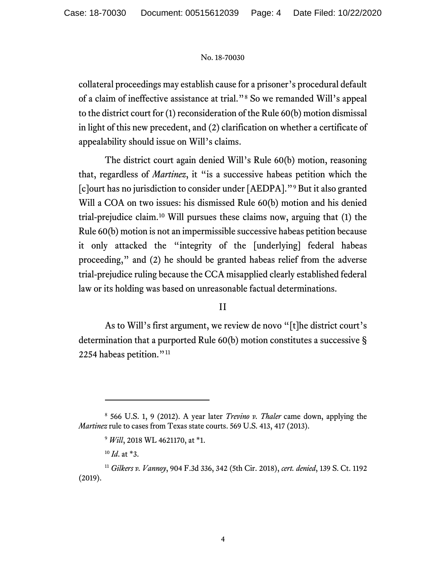collateral proceedings may establish cause for a prisoner's procedural default of a claim of ineffective assistance at trial."[8](#page-3-0) So we remanded Will's appeal to the district court for (1) reconsideration of the Rule 60(b) motion dismissal in light of this new precedent, and (2) clarification on whether a certificate of appealability should issue on Will's claims.

The district court again denied Will's Rule 60(b) motion, reasoning that, regardless of *Martinez*, it "is a successive habeas petition which the [c]ourt has no jurisdiction to consider under [AEDPA]."[9](#page-3-1) But it also granted Will a COA on two issues: his dismissed Rule 60(b) motion and his denied trial-prejudice claim.[10](#page-3-2) Will pursues these claims now, arguing that (1) the Rule 60(b) motion is not an impermissible successive habeas petition because it only attacked the "integrity of the [underlying] federal habeas proceeding," and (2) he should be granted habeas relief from the adverse trial-prejudice ruling because the CCA misapplied clearly established federal law or its holding was based on unreasonable factual determinations.

# II

As to Will's first argument, we review de novo "[t]he district court's determination that a purported Rule 60(b) motion constitutes a successive § 2254 habeas petition."<sup>[11](#page-3-3)</sup>

<span id="page-3-1"></span><span id="page-3-0"></span><sup>8</sup> 566 U.S. 1, 9 (2012). A year later *Trevino v. Thaler* came down, applying the *Martinez* rule to cases from Texas state courts. 569 U.S. 413, 417 (2013).

<sup>9</sup> *Will*, 2018 WL 4621170, at \*1.

<sup>10</sup> *Id*. at \*3.

<span id="page-3-3"></span><span id="page-3-2"></span><sup>11</sup> *Gilkers v. Vannoy*, 904 F.3d 336, 342 (5th Cir. 2018), *cert. denied*, 139 S. Ct. 1192 (2019).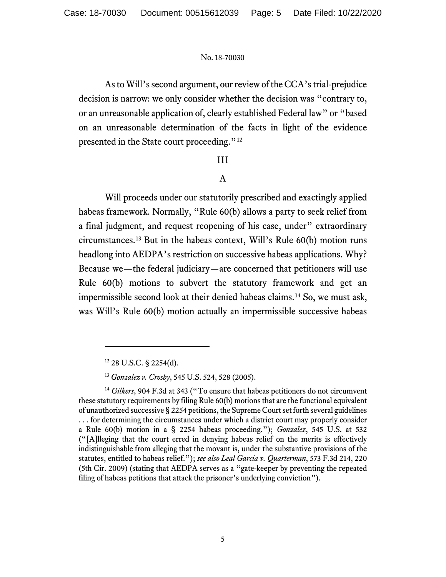As to Will's second argument, our review of the CCA's trial-prejudice decision is narrow: we only consider whether the decision was "contrary to, or an unreasonable application of, clearly established Federal law" or "based on an unreasonable determination of the facts in light of the evidence presented in the State court proceeding."[12](#page-4-0)

# III

# A

Will proceeds under our statutorily prescribed and exactingly applied habeas framework. Normally, "Rule 60(b) allows a party to seek relief from a final judgment, and request reopening of his case, under" extraordinary circumstances.[13](#page-4-1) But in the habeas context, Will's Rule 60(b) motion runs headlong into AEDPA's restriction on successive habeas applications. Why? Because we—the federal judiciary—are concerned that petitioners will use Rule 60(b) motions to subvert the statutory framework and get an impermissible second look at their denied habeas claims.[14](#page-4-2) So, we must ask, was Will's Rule 60(b) motion actually an impermissible successive habeas

<sup>12</sup> 28 U.S.C. § 2254(d).

<sup>13</sup> *Gonzalez v. Crosby*, 545 U.S. 524, 528 (2005).

<span id="page-4-2"></span><span id="page-4-1"></span><span id="page-4-0"></span><sup>&</sup>lt;sup>14</sup> Gilkers, 904 F.3d at 343 ("To ensure that habeas petitioners do not circumvent these statutory requirements by filing Rule 60(b) motions that are the functional equivalent of unauthorized successive § 2254 petitions, the Supreme Court set forth several guidelines . . . for determining the circumstances under which a district court may properly consider a Rule 60(b) motion in a § 2254 habeas proceeding."); *Gonzalez*, 545 U.S. at 532 ("[A]lleging that the court erred in denying habeas relief on the merits is effectively indistinguishable from alleging that the movant is, under the substantive provisions of the statutes, entitled to habeas relief."); *see also Leal Garcia v. Quarterman*, 573 F.3d 214, 220 (5th Cir. 2009) (stating that AEDPA serves as a "gate-keeper by preventing the repeated filing of habeas petitions that attack the prisoner's underlying conviction").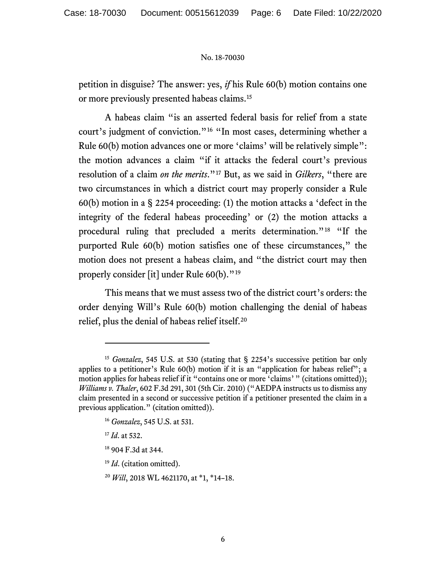petition in disguise? The answer: yes, *if* his Rule 60(b) motion contains one or more previously presented habeas claims. [15](#page-5-0)

A habeas claim "is an asserted federal basis for relief from a state court's judgment of conviction."[16](#page-5-1) "In most cases, determining whether a Rule 60(b) motion advances one or more 'claims' will be relatively simple": the motion advances a claim "if it attacks the federal court's previous resolution of a claim *on the merits*."[17](#page-5-2) But, as we said in *Gilkers*, "there are two circumstances in which a district court may properly consider a Rule 60(b) motion in a § 2254 proceeding: (1) the motion attacks a 'defect in the integrity of the federal habeas proceeding' or (2) the motion attacks a procedural ruling that precluded a merits determination."[18](#page-5-3) "If the purported Rule 60(b) motion satisfies one of these circumstances," the motion does not present a habeas claim, and "the district court may then properly consider [it] under Rule 60(b)."[19](#page-5-4)

This means that we must assess two of the district court's orders: the order denying Will's Rule 60(b) motion challenging the denial of habeas relief, plus the denial of habeas relief itself. [20](#page-5-5)

<span id="page-5-5"></span><sup>20</sup> *Will*, 2018 WL 4621170, at \*1, \*14–18.

<span id="page-5-1"></span><span id="page-5-0"></span><sup>&</sup>lt;sup>15</sup> *Gonzalez*, 545 U.S. at 530 (stating that § 2254's successive petition bar only applies to a petitioner's Rule 60(b) motion if it is an "application for habeas relief"; a motion applies for habeas relief if it "contains one or more 'claims'" (citations omitted)); *Williams v. Thaler*, 602 F.3d 291, 301 (5th Cir. 2010) ("AEDPA instructs us to dismiss any claim presented in a second or successive petition if a petitioner presented the claim in a previous application." (citation omitted)).

<span id="page-5-2"></span><sup>16</sup> *Gonzalez*, 545 U.S. at 531.

<sup>17</sup> *Id*. at 532.

<span id="page-5-3"></span><sup>18</sup> 904 F.3d at 344.

<span id="page-5-4"></span><sup>19</sup> *Id*. (citation omitted).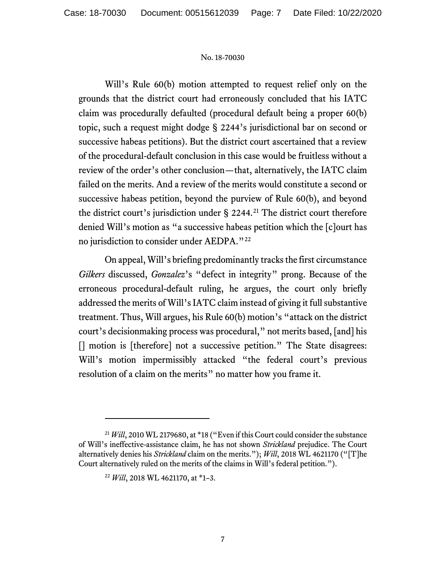Will's Rule 60(b) motion attempted to request relief only on the grounds that the district court had erroneously concluded that his IATC claim was procedurally defaulted (procedural default being a proper 60(b) topic, such a request might dodge § 2244's jurisdictional bar on second or successive habeas petitions). But the district court ascertained that a review of the procedural-default conclusion in this case would be fruitless without a review of the order's other conclusion—that, alternatively, the IATC claim failed on the merits. And a review of the merits would constitute a second or successive habeas petition, beyond the purview of Rule 60(b), and beyond the district court's jurisdiction under § 2244. [21](#page-6-0) The district court therefore denied Will's motion as "a successive habeas petition which the [c]ourt has no jurisdiction to consider under AEDPA."<sup>[22](#page-6-1)</sup>

On appeal, Will's briefing predominantly tracks the first circumstance *Gilkers* discussed, *Gonzalez*'s "defect in integrity" prong. Because of the erroneous procedural-default ruling, he argues, the court only briefly addressed the merits of Will's IATC claim instead of giving it full substantive treatment. Thus, Will argues, his Rule 60(b) motion's "attack on the district court's decisionmaking process was procedural," not merits based, [and] his [] motion is [therefore] not a successive petition." The State disagrees: Will's motion impermissibly attacked "the federal court's previous resolution of a claim on the merits" no matter how you frame it.

<span id="page-6-1"></span><span id="page-6-0"></span><sup>&</sup>lt;sup>21</sup> *Will*, 2010 WL 2179680, at \*18 ("Even if this Court could consider the substance of Will's ineffective-assistance claim, he has not shown *Strickland* prejudice. The Court alternatively denies his *Strickland* claim on the merits."); *Will*, 2018 WL 4621170 ("[T]he Court alternatively ruled on the merits of the claims in Will's federal petition.").

<sup>22</sup> *Will*, 2018 WL 4621170, at \*1–3.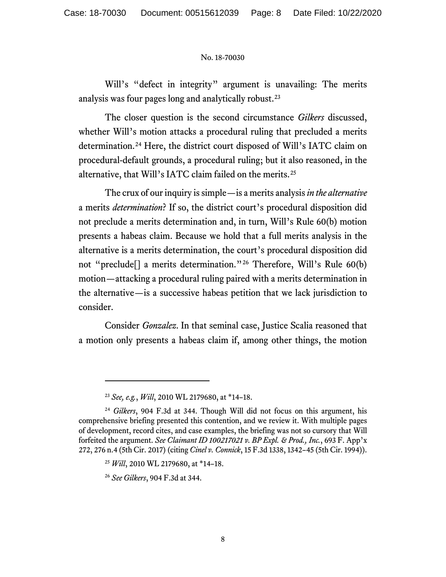Will's "defect in integrity" argument is unavailing: The merits analysis was four pages long and analytically robust. [23](#page-7-0)

The closer question is the second circumstance *Gilkers* discussed, whether Will's motion attacks a procedural ruling that precluded a merits determination.[24](#page-7-1) Here, the district court disposed of Will's IATC claim on procedural-default grounds, a procedural ruling; but it also reasoned, in the alternative, that Will's IATC claim failed on the merits.[25](#page-7-2)

The crux of our inquiry is simple—is a merits analysis *in the alternative* a merits *determination*? If so, the district court's procedural disposition did not preclude a merits determination and, in turn, Will's Rule 60(b) motion presents a habeas claim. Because we hold that a full merits analysis in the alternative is a merits determination, the court's procedural disposition did not "preclude[] a merits determination."[26](#page-7-3) Therefore, Will's Rule 60(b) motion—attacking a procedural ruling paired with a merits determination in the alternative—is a successive habeas petition that we lack jurisdiction to consider.

Consider *Gonzalez*. In that seminal case, Justice Scalia reasoned that a motion only presents a habeas claim if, among other things, the motion

<sup>23</sup> *See, e.g.*, *Will*, 2010 WL 2179680, at \*14–18.

<span id="page-7-3"></span><span id="page-7-2"></span><span id="page-7-1"></span><span id="page-7-0"></span><sup>24</sup> *Gilkers*, 904 F.3d at 344. Though Will did not focus on this argument, his comprehensive briefing presented this contention, and we review it. With multiple pages of development, record cites, and case examples, the briefing was not so cursory that Will forfeited the argument. *See Claimant ID 100217021 v. BP Expl. & Prod., Inc.*, 693 F. App'x 272, 276 n.4 (5th Cir. 2017) (citing *Cinel v. Connick*, 15 F.3d 1338, 1342–45 (5th Cir. 1994)).

<sup>25</sup> *Will*, 2010 WL 2179680, at \*14–18.

<sup>26</sup> *See Gilkers*, 904 F.3d at 344.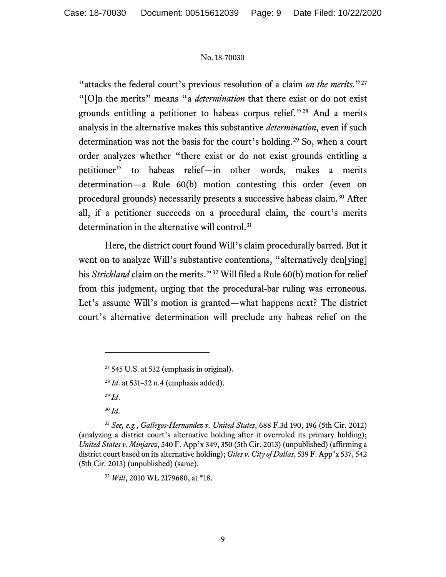"attacks the federal court's previous resolution of a claim *on the merits*."[27](#page-8-0) "[O]n the merits" means "a *determination* that there exist or do not exist grounds entitling a petitioner to habeas corpus relief."[28](#page-8-1) And a merits analysis in the alternative makes this substantive *determination*, even if such determination was not the basis for the court's holding. [29](#page-8-2) So, when a court order analyzes whether "there exist or do not exist grounds entitling a petitioner" to habeas relief—in other words, makes a merits determination—a Rule 60(b) motion contesting this order (even on procedural grounds) necessarily presents a successive habeas claim. [30](#page-8-3) After all, if a petitioner succeeds on a procedural claim, the court's merits determination in the alternative will control.<sup>[31](#page-8-4)</sup>

Here, the district court found Will's claim procedurally barred. But it went on to analyze Will's substantive contentions, "alternatively den[ying] his *Strickland* claim on the merits."<sup>[32](#page-8-5)</sup> Will filed a Rule 60(b) motion for relief from this judgment, urging that the procedural-bar ruling was erroneous. Let's assume Will's motion is granted—what happens next? The district court's alternative determination will preclude any habeas relief on the

<sup>29</sup> *Id*.

<sup>30</sup> *Id*.

<span id="page-8-5"></span><span id="page-8-4"></span><span id="page-8-3"></span><span id="page-8-2"></span><span id="page-8-1"></span><span id="page-8-0"></span><sup>31</sup> *See, e.g.*, *Gallegos-Hernandez v. United States*, 688 F.3d 190, 196 (5th Cir. 2012) (analyzing a district court's alternative holding after it overruled its primary holding); *United States v. Minjarez*, 540 F. App'x 349, 350 (5th Cir. 2013) (unpublished) (affirming a district court based on its alternative holding); *Giles v. City of Dallas*, 539 F. App'x 537, 542 (5th Cir. 2013) (unpublished) (same).

<sup>32</sup> *Will*, 2010 WL 2179680, at \*18.

 $27$  545 U.S. at 532 (emphasis in original).

<sup>28</sup> *Id*. at 531–32 n.4 (emphasis added).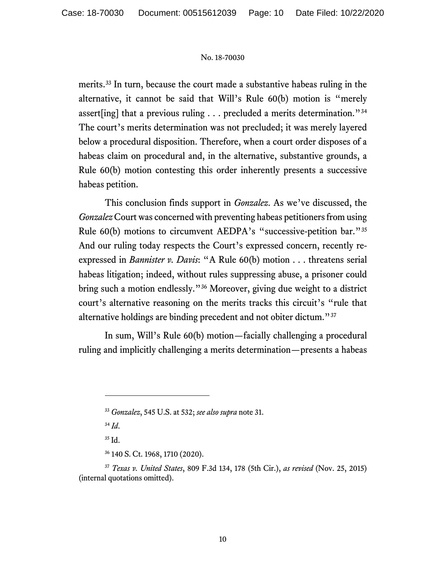merits. [33](#page-9-0) In turn, because the court made a substantive habeas ruling in the alternative, it cannot be said that Will's Rule 60(b) motion is "merely assert[ing] that a previous ruling . . . precluded a merits determination."[34](#page-9-1) The court's merits determination was not precluded; it was merely layered below a procedural disposition. Therefore, when a court order disposes of a habeas claim on procedural and, in the alternative, substantive grounds, a Rule 60(b) motion contesting this order inherently presents a successive habeas petition.

This conclusion finds support in *Gonzalez*. As we've discussed, the *Gonzalez* Court was concerned with preventing habeas petitioners from using Rule 60(b) motions to circumvent AEDPA's "successive-petition bar."[35](#page-9-2) And our ruling today respects the Court's expressed concern, recently reexpressed in *Bannister v. Davis*: "A Rule 60(b) motion . . . threatens serial habeas litigation; indeed, without rules suppressing abuse, a prisoner could bring such a motion endlessly."[36](#page-9-3) Moreover, giving due weight to a district court's alternative reasoning on the merits tracks this circuit's "rule that alternative holdings are binding precedent and not obiter dictum."[37](#page-9-4)

In sum, Will's Rule 60(b) motion—facially challenging a procedural ruling and implicitly challenging a merits determination—presents a habeas

<sup>34</sup> *Id*.

<sup>35</sup> Id.

<sup>36</sup> 140 S. Ct. 1968, 1710 (2020).

<sup>33</sup> *Gonzalez*, 545 U.S. at 532; *see also supra* note 31.

<span id="page-9-4"></span><span id="page-9-3"></span><span id="page-9-2"></span><span id="page-9-1"></span><span id="page-9-0"></span><sup>37</sup> *Texas v. United States*, 809 F.3d 134, 178 (5th Cir.), *as revised* (Nov. 25, 2015) (internal quotations omitted).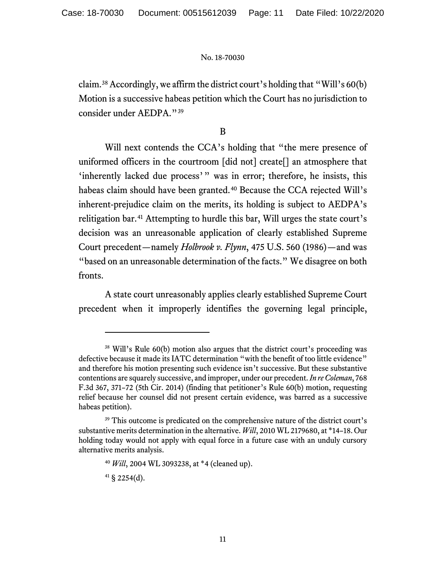claim.<sup>[38](#page-10-0)</sup> Accordingly, we affirm the district court's holding that "Will's  $60(b)$ " Motion is a successive habeas petition which the Court has no jurisdiction to consider under AEDPA."[39](#page-10-1)

## B

Will next contends the CCA's holding that "the mere presence of uniformed officers in the courtroom [did not] create[] an atmosphere that 'inherently lacked due process'" was in error; therefore, he insists, this habeas claim should have been granted.<sup>[40](#page-10-2)</sup> Because the CCA rejected Will's inherent-prejudice claim on the merits, its holding is subject to AEDPA's relitigation bar.[41](#page-10-3) Attempting to hurdle this bar, Will urges the state court's decision was an unreasonable application of clearly established Supreme Court precedent—namely *Holbrook v. Flynn*, 475 U.S. 560 (1986)—and was "based on an unreasonable determination of the facts." We disagree on both fronts.

A state court unreasonably applies clearly established Supreme Court precedent when it improperly identifies the governing legal principle,

<span id="page-10-0"></span><sup>38</sup> Will's Rule 60(b) motion also argues that the district court's proceeding was defective because it made its IATC determination "with the benefit of too little evidence" and therefore his motion presenting such evidence isn't successive. But these substantive contentions are squarely successive, and improper, under our precedent. *In re Coleman*, 768 F.3d 367, 371–72 (5th Cir. 2014) (finding that petitioner's Rule 60(b) motion, requesting relief because her counsel did not present certain evidence, was barred as a successive habeas petition).

<span id="page-10-3"></span><span id="page-10-2"></span><span id="page-10-1"></span><sup>&</sup>lt;sup>39</sup> This outcome is predicated on the comprehensive nature of the district court's substantive merits determination in the alternative. *Will*, 2010 WL 2179680, at \*14–18. Our holding today would not apply with equal force in a future case with an unduly cursory alternative merits analysis.

<sup>40</sup> *Will*, 2004 WL 3093238, at \*4 (cleaned up).

 $41 \text{ }$ § 2254(d).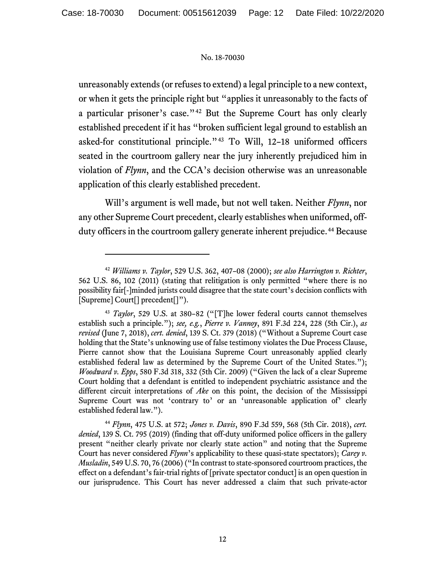unreasonably extends (or refuses to extend) a legal principle to a new context, or when it gets the principle right but "applies it unreasonably to the facts of a particular prisoner's case."[42](#page-11-0) But the Supreme Court has only clearly established precedent if it has "broken sufficient legal ground to establish an asked-for constitutional principle."[43](#page-11-1) To Will, 12–18 uniformed officers seated in the courtroom gallery near the jury inherently prejudiced him in violation of *Flynn*, and the CCA's decision otherwise was an unreasonable application of this clearly established precedent.

Will's argument is well made, but not well taken. Neither *Flynn*, nor any other Supreme Court precedent, clearly establishes when uniformed, off-duty officers in the courtroom gallery generate inherent prejudice.<sup>[44](#page-11-2)</sup> Because

<span id="page-11-0"></span><sup>42</sup> *Williams v. Taylor*, 529 U.S. 362, 407–08 (2000); *see also Harrington v. Richter*, 562 U.S. 86, 102 (2011) (stating that relitigation is only permitted "where there is no possibility fair[-]minded jurists could disagree that the state court's decision conflicts with [Supreme] Court[] precedent[]").

<span id="page-11-1"></span><sup>43</sup> *Taylor*, 529 U.S. at 380–82 ("[T]he lower federal courts cannot themselves establish such a principle."); *see, e.g.*, *Pierre v. Vannoy*, 891 F.3d 224, 228 (5th Cir.), *as revised* (June 7, 2018), *cert. denied*, 139 S. Ct. 379 (2018) ("Without a Supreme Court case holding that the State's unknowing use of false testimony violates the Due Process Clause, Pierre cannot show that the Louisiana Supreme Court unreasonably applied clearly established federal law as determined by the Supreme Court of the United States."); *Woodward v. Epps*, 580 F.3d 318, 332 (5th Cir. 2009) ("Given the lack of a clear Supreme Court holding that a defendant is entitled to independent psychiatric assistance and the different circuit interpretations of *Ake* on this point, the decision of the Mississippi Supreme Court was not 'contrary to' or an 'unreasonable application of' clearly established federal law.").

<span id="page-11-2"></span><sup>44</sup> *Flynn*, 475 U.S. at 572; *Jones v. Davis*, 890 F.3d 559, 568 (5th Cir. 2018), *cert. denied*, 139 S. Ct. 795 (2019) (finding that off-duty uniformed police officers in the gallery present "neither clearly private nor clearly state action" and noting that the Supreme Court has never considered *Flynn*'s applicability to these quasi-state spectators); *Carey v. Musladin*, 549 U.S. 70, 76 (2006) ("In contrast to state-sponsored courtroom practices, the effect on a defendant's fair-trial rights of [private spectator conduct] is an open question in our jurisprudence. This Court has never addressed a claim that such private-actor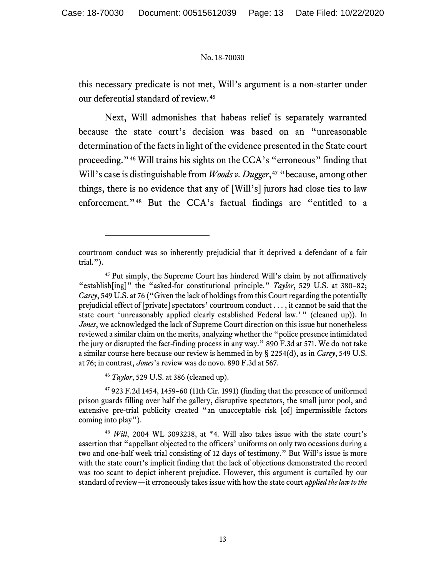this necessary predicate is not met, Will's argument is a non-starter under our deferential standard of review.[45](#page-12-0)

Next, Will admonishes that habeas relief is separately warranted because the state court's decision was based on an "unreasonable determination of the facts in light of the evidence presented in the State court proceeding."[46](#page-12-1) Will trains his sights on the CCA's "erroneous" finding that Will's case is distinguishable from *Woods v. Dugger*,<sup>[47](#page-12-2)</sup> "because, among other things, there is no evidence that any of [Will's] jurors had close ties to law enforcement."[48](#page-12-3) But the CCA's factual findings are "entitled to a

<sup>46</sup> *Taylor*, 529 U.S. at 386 (cleaned up).

<span id="page-12-2"></span><span id="page-12-1"></span><sup>47</sup> 923 F.2d 1454, 1459–60 (11th Cir. 1991) (finding that the presence of uniformed prison guards filling over half the gallery, disruptive spectators, the small juror pool, and extensive pre-trial publicity created "an unacceptable risk [of] impermissible factors coming into play").

<span id="page-12-3"></span><sup>48</sup> *Will*, 2004 WL 3093238, at \*4. Will also takes issue with the state court's assertion that "appellant objected to the officers' uniforms on only two occasions during a two and one-half week trial consisting of 12 days of testimony." But Will's issue is more with the state court's implicit finding that the lack of objections demonstrated the record was too scant to depict inherent prejudice. However, this argument is curtailed by our standard of review—it erroneously takes issue with how the state court *applied the law to the* 

courtroom conduct was so inherently prejudicial that it deprived a defendant of a fair trial.").

<span id="page-12-0"></span><sup>45</sup> Put simply, the Supreme Court has hindered Will's claim by not affirmatively "establish[ing]" the "asked-for constitutional principle." *Taylor*, 529 U.S. at 380–82; *Carey*, 549 U.S. at 76 ("Given the lack of holdings from this Court regarding the potentially prejudicial effect of [private] spectators' courtroom conduct . . . , it cannot be said that the state court 'unreasonably applied clearly established Federal law.'" (cleaned up)). In *Jones*, we acknowledged the lack of Supreme Court direction on this issue but nonetheless reviewed a similar claim on the merits, analyzing whether the "police presence intimidated the jury or disrupted the fact-finding process in any way." 890 F.3d at 571. We do not take a similar course here because our review is hemmed in by § 2254(d), as in *Carey*, 549 U.S. at 76; in contrast, *Jones*'s review was de novo. 890 F.3d at 567.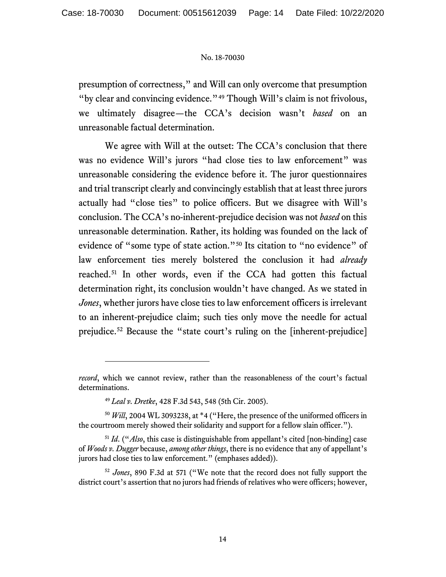presumption of correctness," and Will can only overcome that presumption "by clear and convincing evidence."<sup>[49](#page-13-0)</sup> Though Will's claim is not frivolous, we ultimately disagree—the CCA's decision wasn't *based* on an unreasonable factual determination.

We agree with Will at the outset: The CCA's conclusion that there was no evidence Will's jurors "had close ties to law enforcement" was unreasonable considering the evidence before it. The juror questionnaires and trial transcript clearly and convincingly establish that at least three jurors actually had "close ties" to police officers. But we disagree with Will's conclusion. The CCA's no-inherent-prejudice decision was not *based* on this unreasonable determination. Rather, its holding was founded on the lack of evidence of "some type of state action."[50](#page-13-1) Its citation to "no evidence" of law enforcement ties merely bolstered the conclusion it had *already* reached.[51](#page-13-2) In other words, even if the CCA had gotten this factual determination right, its conclusion wouldn't have changed. As we stated in *Jones*, whether jurors have close ties to law enforcement officers is irrelevant to an inherent-prejudice claim; such ties only move the needle for actual prejudice.[52](#page-13-3) Because the "state court's ruling on the [inherent-prejudice]

*record*, which we cannot review, rather than the reasonableness of the court's factual determinations.

<sup>49</sup> *Leal v. Dretke*, 428 F.3d 543, 548 (5th Cir. 2005).

<span id="page-13-1"></span><span id="page-13-0"></span><sup>50</sup> *Will*, 2004 WL 3093238, at \*4 ("Here, the presence of the uniformed officers in the courtroom merely showed their solidarity and support for a fellow slain officer.").

<span id="page-13-2"></span><sup>51</sup> *Id*. ("*Also*, this case is distinguishable from appellant's cited [non-binding] case of *Woods v. Dugger* because, *among other things*, there is no evidence that any of appellant's jurors had close ties to law enforcement." (emphases added)).

<span id="page-13-3"></span><sup>52</sup> *Jones*, 890 F.3d at 571 ("We note that the record does not fully support the district court's assertion that no jurors had friends of relatives who were officers; however,